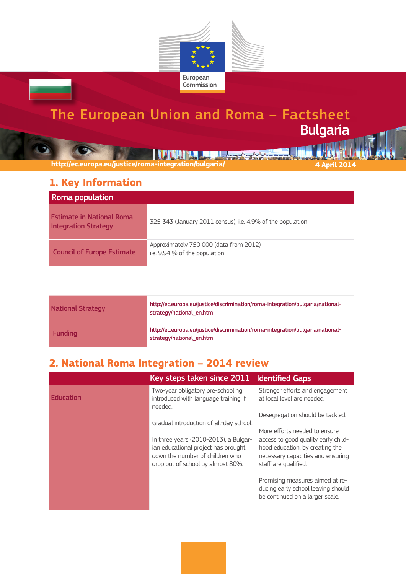

# The European Union and Roma – Factsheet Bulgaria

**THE REAL PROPERTY OF STATE AND REAL** 

**http://ec.europa.eu/justice/roma-integration/bulgaria/ 4 April 2014**

#### **1. Key Information**

| Roma population                                                 |                                                                         |
|-----------------------------------------------------------------|-------------------------------------------------------------------------|
| <b>Estimate in National Roma</b><br><b>Integration Strategy</b> | 325 343 (January 2011 census), i.e. 4.9% of the population              |
| <b>Council of Europe Estimate</b>                               | Approximately 750 000 (data from 2012)<br>i.e. 9.94 % of the population |

| <b>National Strategy</b> | http://ec.europa.eu/justice/discrimination/roma-integration/bulgaria/national-<br>strategy/national en.htm |
|--------------------------|------------------------------------------------------------------------------------------------------------|
| <b>Funding</b>           | http://ec.europa.eu/justice/discrimination/roma-integration/bulgaria/national-<br>strategy/national en.htm |

### **2. National Roma Integration – 2014 review**

|                  | Key steps taken since 2011                                                                                                                           | <b>Identified Gaps</b>                                                                                                              |
|------------------|------------------------------------------------------------------------------------------------------------------------------------------------------|-------------------------------------------------------------------------------------------------------------------------------------|
| <b>Education</b> | Two-year obligatory pre-schooling<br>introduced with language training if<br>needed.                                                                 | Stronger efforts and engagement<br>at local level are needed.                                                                       |
|                  | Gradual introduction of all-day school.                                                                                                              | Desegregation should be tackled.                                                                                                    |
|                  |                                                                                                                                                      | More efforts needed to ensure                                                                                                       |
|                  | In three years (2010-2013), a Bulgar-<br>ian educational project has brought<br>down the number of children who<br>drop out of school by almost 80%. | access to good quality early child-<br>hood education, by creating the<br>necessary capacities and ensuring<br>staff are qualified. |
|                  |                                                                                                                                                      | Promising measures aimed at re-<br>ducing early school leaving should<br>be continued on a larger scale.                            |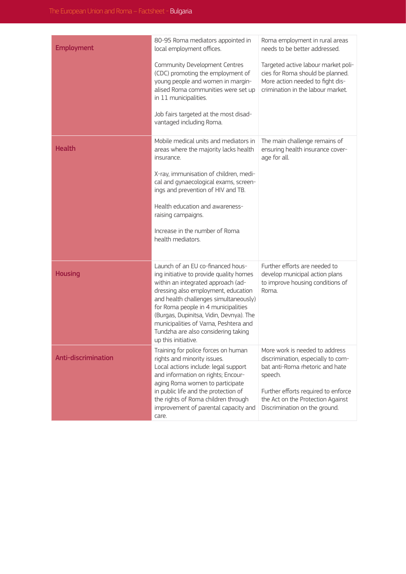| <b>Employment</b>   | 80-95 Roma mediators appointed in<br>local employment offices.<br>Community Development Centres<br>(CDC) promoting the employment of<br>young people and women in margin-<br>alised Roma communities were set up<br>in 11 municipalities.<br>Job fairs targeted at the most disad-<br>vantaged including Roma.                                                                              | Roma employment in rural areas<br>needs to be better addressed.<br>Targeted active labour market poli-<br>cies for Roma should be planned.<br>More action needed to fight dis-<br>crimination in the labour market.             |
|---------------------|---------------------------------------------------------------------------------------------------------------------------------------------------------------------------------------------------------------------------------------------------------------------------------------------------------------------------------------------------------------------------------------------|---------------------------------------------------------------------------------------------------------------------------------------------------------------------------------------------------------------------------------|
| <b>Health</b>       | Mobile medical units and mediators in<br>areas where the majority lacks health<br>insurance.<br>X-ray, immunisation of children, medi-<br>cal and gynaecological exams, screen-<br>ings and prevention of HIV and TB.<br>Health education and awareness-<br>raising campaigns.<br>Increase in the number of Roma<br>health mediators.                                                       | The main challenge remains of<br>ensuring health insurance cover-<br>age for all.                                                                                                                                               |
| <b>Housing</b>      | Launch of an EU co-financed hous-<br>ing initiative to provide quality homes<br>within an integrated approach (ad-<br>dressing also employment, education<br>and health challenges simultaneously)<br>for Roma people in 4 municipalities<br>(Burgas, Dupinitsa, Vidin, Devnya). The<br>municipalities of Varna, Peshtera and<br>Tundzha are also considering taking<br>up this initiative. | Further efforts are needed to<br>develop municipal action plans<br>to improve housing conditions of<br>Roma.                                                                                                                    |
| Anti-discrimination | Training for police forces on human<br>rights and minority issues.<br>Local actions include: legal support<br>and information on rights; Encour-<br>aging Roma women to participate<br>in public life and the protection of<br>the rights of Roma children through<br>improvement of parental capacity and<br>care.                                                                         | More work is needed to address<br>discrimination, especially to com-<br>bat anti-Roma rhetoric and hate<br>speech.<br>Further efforts required to enforce<br>the Act on the Protection Against<br>Discrimination on the ground. |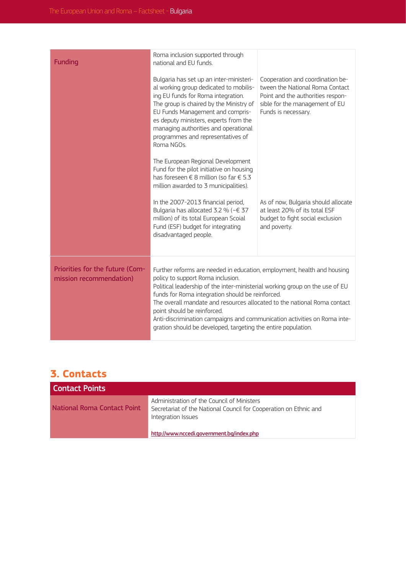| <b>Funding</b>                                             | Roma inclusion supported through<br>national and EU funds.                                                                                                                                                                                                                                                                                                                                                                                                                                               |                                                                                                                                                                   |
|------------------------------------------------------------|----------------------------------------------------------------------------------------------------------------------------------------------------------------------------------------------------------------------------------------------------------------------------------------------------------------------------------------------------------------------------------------------------------------------------------------------------------------------------------------------------------|-------------------------------------------------------------------------------------------------------------------------------------------------------------------|
|                                                            | Bulgaria has set up an inter-ministeri-<br>al working group dedicated to mobilis-<br>ing EU funds for Roma integration.<br>The group is chaired by the Ministry of<br>EU Funds Management and compris-<br>es deputy ministers, experts from the<br>managing authorities and operational<br>programmes and representatives of<br>Roma NGOs.                                                                                                                                                               | Cooperation and coordination be-<br>tween the National Roma Contact<br>Point and the authorities respon-<br>sible for the management of EU<br>Funds is necessary. |
|                                                            | The European Regional Development<br>Fund for the pilot initiative on housing<br>has foreseen € 8 million (so far € 5.3<br>million awarded to 3 municipalities).                                                                                                                                                                                                                                                                                                                                         |                                                                                                                                                                   |
|                                                            | In the 2007-2013 financial period,<br>Bulgaria has allocated 3.2 % ( $\sim \in$ 37<br>million) of its total European Scoial<br>Fund (ESF) budget for integrating<br>disadvantaged people.                                                                                                                                                                                                                                                                                                                | As of now, Bulgaria should allocate<br>at least 20% of its total ESF<br>budget to fight social exclusion<br>and poverty.                                          |
| Priorities for the future (Com-<br>mission recommendation) | Further reforms are needed in education, employment, health and housing<br>policy to support Roma inclusion.<br>Political leadership of the inter-ministerial working group on the use of EU<br>funds for Roma integration should be reinforced.<br>The overall mandate and resources allocated to the national Roma contact<br>point should be reinforced.<br>Anti-discrimination campaigns and communication activities on Roma inte-<br>gration should be developed, targeting the entire population. |                                                                                                                                                                   |
|                                                            |                                                                                                                                                                                                                                                                                                                                                                                                                                                                                                          |                                                                                                                                                                   |

## **3. Contacts**

| <b>Contact Points</b>       |                                                                                                                                       |
|-----------------------------|---------------------------------------------------------------------------------------------------------------------------------------|
| National Roma Contact Point | Administration of the Council of Ministers<br>Secretariat of the National Council for Cooperation on Ethnic and<br>Integration Issues |
|                             | http://www.nccedi.government.bg/index.php                                                                                             |